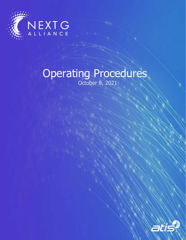

# Operating Procedures October 8, 2021

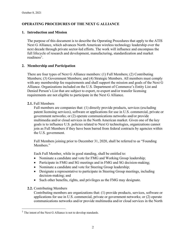# **OPERATING PROCEDURES OF THE NEXT G ALLIANCE**

## **1. Introduction and Mission**

The purpose of this document is to describe the Operating Procedures that apply to the ATIS Next G Alliance, which advances North American wireless technology leadership over the next decade through private sector-led efforts. The work will influence and encompass the full lifecycle of research and development, manufacturing, standardization and market readiness<sup>[1](#page-1-0)</sup>.

# **2. Membership and Participation**

There are four types of Next G Alliance members: (1) Full Members; (2) Contributing Members; (3) Government Members; and (4) Strategic Members. All members must comply with any membership fee requirements and shall support the mission and goals of the Next G Alliance. Organizations included on the U.S. Department of Commerce's Entity List and Denied Person's List that are subject to export, re-export and/or transfer licensing requirements are not eligible to participate in the Next G Alliance.

## **2.1.** Full Members

Full members are companies that: (1) directly provide products, services (excluding patent licensing services), software or applications for use in U.S. commercial, private or government networks; or (2) operate communications networks and/or provide multimedia and/or cloud services in the North American market. Given one of the key goals is to influence U.S. policies related to Next G technologies, organizations cannot join as Full Members if they have been barred from federal contracts by agencies within the U.S. government.

Full Members joining prior to December 31, 2020, shall be referred to as "Founding Members."

Each Full Member, while in good standing, shall be entitled to:

- Nominate a candidate and vote for FMG and Working Group leadership;
- Participate in FMG and SG meetings and in FMG and SG decision-making;
- Nominate a candidate and vote for Steering Group leadership;
- Designate a representative to participate in Steering Group meetings, including decision-making; and
- Such other benefits, rights, and privileges as the FMG may designate.
- **2.2.** Contributing Members

Contributing members are organizations that: (1) provide products, services, software or applications for use in U.S. commercial, private or government networks; or (2) operate communications networks and/or provide multimedia and/or cloud services in the North

<span id="page-1-0"></span> $<sup>1</sup>$  The intent of the Next G Alliance is not to develop standards.</sup>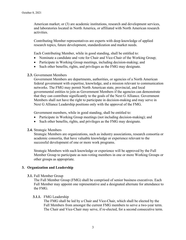American market; or (3) are academic institutions, research and development services, and laboratories located in North America, or affiliated with North American research activities.

Contributing Member representatives are experts with deep knowledge of applied research topics, future development, standardization and market needs.

Each Contributing Member, while in good standing, shall be entitled to:

- Nominate a candidate and vote for Chair and Vice-Chair of the Working Group;
- Participate in Working Group meetings, including decision-making; and
- Such other benefits, rights, and privileges as the FMG may designate.
- **2.3.** Government Members

Government Members are departments, authorities, or agencies of a North American federal government with expertise, knowledge, and a mission relevant to communication networks. The FMG may permit North American state, provincial, and local governmental entities to join as Government Members if the agencies can demonstrate that they can contribute significantly to the goals of the Next G Alliance. Government Members shall not have the right to participate in decision-making and may serve in Next G Alliance Leadership positions only with the approval of the FMG.

Government members, while in good standing, shall be entitled to:

- Participate in Working Group meetings (not including decision-making); and
- Such other benefits, rights, and privileges as the FMG may designate.

#### **2.4.** Strategic Members

Strategic Members are organizations, such as industry associations, research consortia or academic consortia, that have valuable knowledge or experience relevant to the successful development of one or more work programs.

Strategic Members with such knowledge or experience will be approved by the Full Member Group to participate as non-voting members in one or more Working Groups or other groups as appropriate.

## **3. Organization and Leadership**

**3.1.** Full Member Group

The Full Member Group (FMG) shall be comprised of senior business executives. Each Full Member may appoint one representative and a designated alternate for attendance to the FMG.

#### **3.1.1.** FMG Leadership

The FMG shall be led by a Chair and Vice-Chair, which shall be elected by the Full Members from amongst the current FMG members to serve a two-year term. The Chair and Vice-Chair may serve, if re-elected, for a second consecutive term.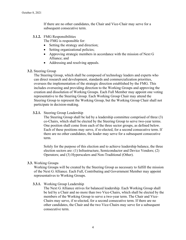If there are no other candidates, the Chair and Vice-Chair may serve for a subsequent consecutive term.

**3.1.2.** FMG Responsibilities

The FMG is responsible for:

- Setting the strategy and direction;
- Setting organizational policies;
- Approving strategic members in accordance with the mission of Next G Alliance; and
- Addressing and resolving appeals.
- **3.2.** Steering Group

The Steering Group, which shall be composed of technology leaders and experts who can direct research and development, standards and commercialization priorities, oversees the implementation of the strategic direction established by the FMG. This includes overseeing and providing direction to the Working Groups and approving the creation and dissolution of Working Groups. Each Full Member may appoint one voting representative to the Steering Group. Each Working Group Chair may attend the Steering Group to represent the Working Group, but the Working Group Chair shall not participate in decision-making.

**3.2.1.** Steering Group Leadership

The Steering Group shall be led by a leadership committee comprised of three (3) co-Chairs, which shall be elected by the Steering Group to serve two-year terms. One position shall come from each of the three sector groups, as defined below. Each of these positions may serve, if re-elected, for a second consecutive term. If there are no other candidates, the leader may serve for a subsequent consecutive term.

Solely for the purpose of this election and to achieve leadership balance, the three election sectors are: (1) Infrastructure, Semiconductor and Device Vendors; (2) Operators; and (3) Hyperscalers and Non-Traditional (Other).

## **3.3.** Working Groups

Working Groups will be created by the Steering Group as necessary to fulfill the mission of the Next G Alliance. Each Full, Contributing and Government Member may appoint representatives to Working Groups.

## **3.3.1.** Working Group Leadership

The Next G Alliance strives for balanced leadership. Each Working Group shall be led by a Chair and no more than two Vice-Chairs, which shall be elected by the members of the Working Group to serve a two-year term. The Chair and Vice-Chairs may serve, if re-elected, for a second consecutive term. If there are no other candidates, the Chair and the two Vice-Chairs may serve for a subsequent consecutive term.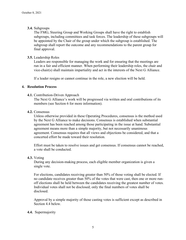## **3.4.** Subgroups

The FMG, Steering Group and Working Groups shall have the right to establish subgroups, including committees and task forces. The leadership of these subgroups will be appointed by the Chair of the group under which the subgroup is established. The subgroup shall report the outcome and any recommendations to the parent group for final approval.

## **3.5.** Leadership Roles

Leaders are responsible for managing the work and for ensuring that the meetings are run in a fair and efficient manner. When performing their leadership roles, the chair and vice-chair(s) shall maintain impartiality and act in the interests of the Next G Alliance.

If a leader resigns or cannot continue in the role, a new election will be held.

# **4. Resolution Process**

## **4.1.** Contribution-Driven Approach

The Next G Alliance's work will be progressed via written and oral contributions of its members (see Section 6 for more information).

# **4.2.** Consensus

Unless otherwise provided in these Operating Procedures, consensus is the method used by the Next G Alliance to make decisions. Consensus is established when substantial agreement has been reached among those participating in the issue at hand. Substantial agreement means more than a simple majority, but not necessarily unanimous agreement. Consensus requires that all views and objections be considered, and that a concerted effort be made toward their resolution.

Effort must be taken to resolve issues and get consensus. If consensus cannot be reached, a vote shall be conducted.

## **4.3.** Voting

During any decision-making process, each eligible member organization is given a single vote.

For elections, candidates receiving greater than 50% of those voting shall be elected. If no candidate receives greater than 50% of the votes that were cast, then one or more runoff elections shall be held between the candidates receiving the greatest number of votes. Individual votes shall not be disclosed; only the final numbers of votes shall be disclosed.

Approval by a simple majority of those casting votes is sufficient except as described in Section 4.4 below.

## **4.4.** Supermajority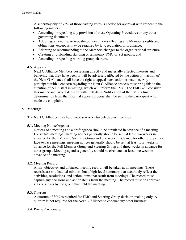A supermajority of 75% of those casting votes is needed for approval with respect to the following matters:

- Amending or repealing any provision of these Operating Procedures or any other governing document
- Adopting, amending, or repealing of documents effecting any Member's rights and obligations, except as may be required by law, regulation or ordinance;
- Adopting or recommending to the Members changes to the organizational structure;
- Creating or disbanding standing or temporary FMG or SG groups; and
- Amending or repealing working group charters.
- **4.5.** Appeals

Next G Alliance Members possessing directly and materially affected interests and believing that they have been or will be adversely affected by the action or inaction of the Next G Alliance shall have the right to appeal such action or inaction. Any participant with a concern regarding the Next G Alliance process must bring this to the attention of ATIS staff in writing, which will inform the FMG. The FMG will consider this matter and issue a decision within 30 days. Notification of the FMG's final determination from the informal appeals process shall be sent to the participant who made the complaint.

# **5. Meetings**

The Next G Alliance may hold in-person or virtual/electronic meetings.

**5.1.** Meeting Notice/Agenda

Notices of a meeting and a draft agenda should be circulated in advance of a meeting. For virtual meetings, meeting notices generally should be sent at least two weeks in advance for the FMG and Steering Group and one week in advance for other groups. For face-to-face meetings, meeting notices generally should be sent at least four weeks in advance for the Full Member Group and Steering Group and three weeks in advance for other groups. Meeting agendas generally should be circulated at least one week in advance of a meeting.

## **5.2.** Meeting Record

A fair, objective, and unbiased meeting record will be taken at all meetings. These records are not detailed minutes, but a high-level summary that accurately reflect the activities, resolutions, and action items that result from meetings. The record must capture any decisions and action items from the meeting. The record must be approved via consensus by the group that held the meeting.

**5.3.** Quorum

A quorum of 30% is required for FMG and Steering Group decision-making only. A quorum is not required for the Next G Alliance to conduct any other business.

## **5.4.** Proxies/ Alternates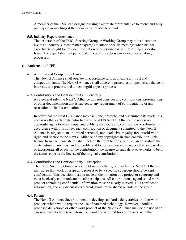A member of the FMG can designate a single alternate representative to attend and fully participate in meetings if the member is not able to attend.

**5.5.** Industry Expert Attendance

The leadership of the FMG, Steering Group or Working Group may at its discretion invite an industry subject matter expert(s) to attend specific meetings when his/her expertise is sought to provide information or otherwise assist in resolving a specific Issue. The expert shall not participate in consensus decisions or decision-making processes.

#### **6. Antitrust and IPR**

**6.1.** Antitrust and Competition Laws

The Next G Alliance shall operate in accordance with applicable antitrust and competition laws. The Next G Alliance shall adhere to principles of openness, balance of interests, due process, and a meaningful appeals process.

**6.2.** Contributions and Confidentiality – Generally

As a general rule, the Next G Alliance will not consider any contributions, presentations, or other documentation that is subject to any requirement of confidentiality or any restriction on its dissemination.

In order that the Next G Alliance may facilitate, promote, and disseminate its work, it is necessary that each contributor licenses the ATIS Next G Alliance the necessary copyright rights to adapt, copy, and publicly distribute any contribution or submittal. In accordance with this policy, each contribution or document submitted to the Next G Alliance is subject to an unlimited perpetual, non-exclusive, royalty-free, world-wide right, and license to the Next G Alliance of any copyrights in such contribution. This license from each contributor shall include the right to copy, publish, and distribute the contribution in any way, and to modify and to prepare derivative works that are based on or incorporate all or part of the contribution, the license to such derivative works to be of the same scope as the license of the original contribution.

**6.3.** Contributions and Confidentiality – Exception

The FMG, Steering Group, Working Group or other group within the Next G Alliance may agree that work on a specific project or by a specific subgroup should be kept confidential. This decision must be made at the initiation of a project or subgroup and must be clearly communicated to all participants. All contributions, agendas and work product containing confidential information must be clearly marked. This confidential information, and any discussions thereof, shall not be shared outside of the group.

## **6.4.** Patents

The Next G Alliance does not intend to develop standards, deliverables or other work products which would require the use of patented technology. However, should a proposed deliverable or other work product of the Next G Alliance include the use of an essential patent claim (one whose use would be required for compliance with that